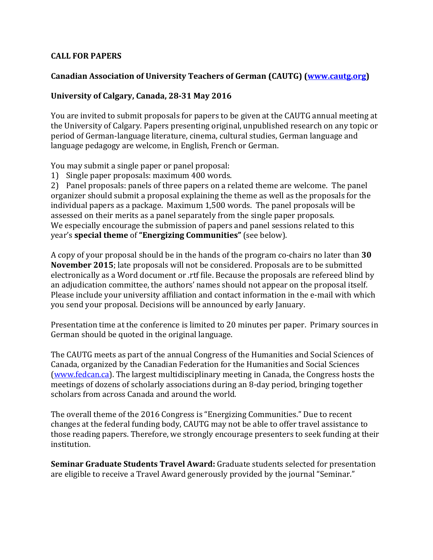## **CALL FOR PAPERS**

## **Canadian Association of University Teachers of German (CAUTG) (www.cautg.org)**

## University of Calgary, Canada, 28-31 May 2016

You are invited to submit proposals for papers to be given at the CAUTG annual meeting at the University of Calgary. Papers presenting original, unpublished research on any topic or period of German-language literature, cinema, cultural studies, German language and language pedagogy are welcome, in English, French or German.

You may submit a single paper or panel proposal:

1) Single paper proposals: maximum 400 words.

2) Panel proposals: panels of three papers on a related theme are welcome. The panel organizer should submit a proposal explaining the theme as well as the proposals for the individual papers as a package. Maximum  $1,500$  words. The panel proposals will be assessed on their merits as a panel separately from the single paper proposals. We especially encourage the submission of papers and panel sessions related to this **year's special theme** of "**Energizing Communities**" (see below).

A copy of your proposal should be in the hands of the program co-chairs no later than **30 November 2015**; late proposals will not be considered. Proposals are to be submitted electronically as a Word document or .rtf file. Because the proposals are refereed blind by an adjudication committee, the authors' names should not appear on the proposal itself. Please include your university affiliation and contact information in the e-mail with which you send your proposal. Decisions will be announced by early January.

Presentation time at the conference is limited to 20 minutes per paper. Primary sources in German should be quoted in the original language.

The CAUTG meets as part of the annual Congress of the Humanities and Social Sciences of Canada, organized by the Canadian Federation for the Humanities and Social Sciences (www.fedcan.ca). The largest multidisciplinary meeting in Canada, the Congress hosts the meetings of dozens of scholarly associations during an 8-day period, bringing together scholars from across Canada and around the world.

The overall theme of the 2016 Congress is "Energizing Communities." Due to recent changes at the federal funding body, CAUTG may not be able to offer travel assistance to those reading papers. Therefore, we strongly encourage presenters to seek funding at their institution.

**Seminar Graduate Students Travel Award:** Graduate students selected for presentation are eligible to receive a Travel Award generously provided by the journal "Seminar."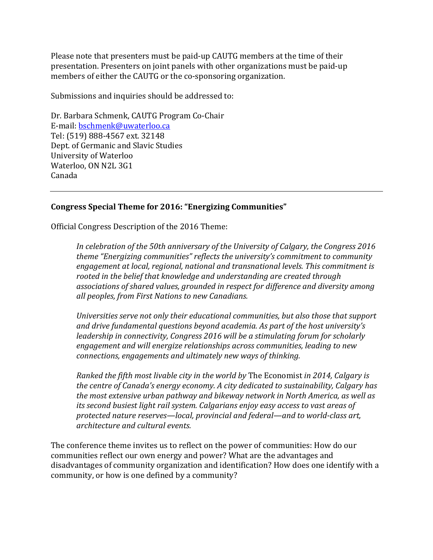Please note that presenters must be paid-up CAUTG members at the time of their presentation. Presenters on joint panels with other organizations must be paid-up members of either the CAUTG or the co-sponsoring organization.

Submissions and inquiries should be addressed to:

Dr. Barbara Schmenk, CAUTG Program Co-Chair E-mail: bschmenk@uwaterloo.ca Tel: (519) 888-4567 ext. 32148 Dept. of Germanic and Slavic Studies University of Waterloo Waterloo, ON N2L 3G1 Canada

## **Congress Special Theme for 2016: "Energizing Communities"**

Official Congress Description of the 2016 Theme:

In celebration of the 50th anniversary of the University of Calgary, the Congress 2016 *theme* "Energizing communities" reflects the university's commitment to community engagement at local, regional, national and transnational levels. This commitment is rooted in the belief that knowledge and understanding are created through associations of shared values, grounded in respect for difference and diversity among *all peoples, from First Nations to new Canadians.*

*Universities serve not only their educational communities, but also those that support and drive fundamental questions beyond academia. As part of the host university's leadership in connectivity, Congress 2016 will be a stimulating forum for scholarly* engagement and will energize relationships across communities, leading to new *connections, engagements and ultimately new ways of thinking.* 

*Ranked the fifth most livable city in the world by The Economist in 2014, Calgary is* the centre of Canada's energy economy. A city dedicated to sustainability, Calgary has *the most extensive urban pathway and bikeway network in North America, as well as its second busiest light rail system. Calgarians enjoy easy access to vast areas of* protected nature reserves—local, provincial and federal—and to world-class art, *architecture and cultural events.*

The conference theme invites us to reflect on the power of communities: How do our communities reflect our own energy and power? What are the advantages and disadvantages of community organization and identification? How does one identify with a community, or how is one defined by a community?